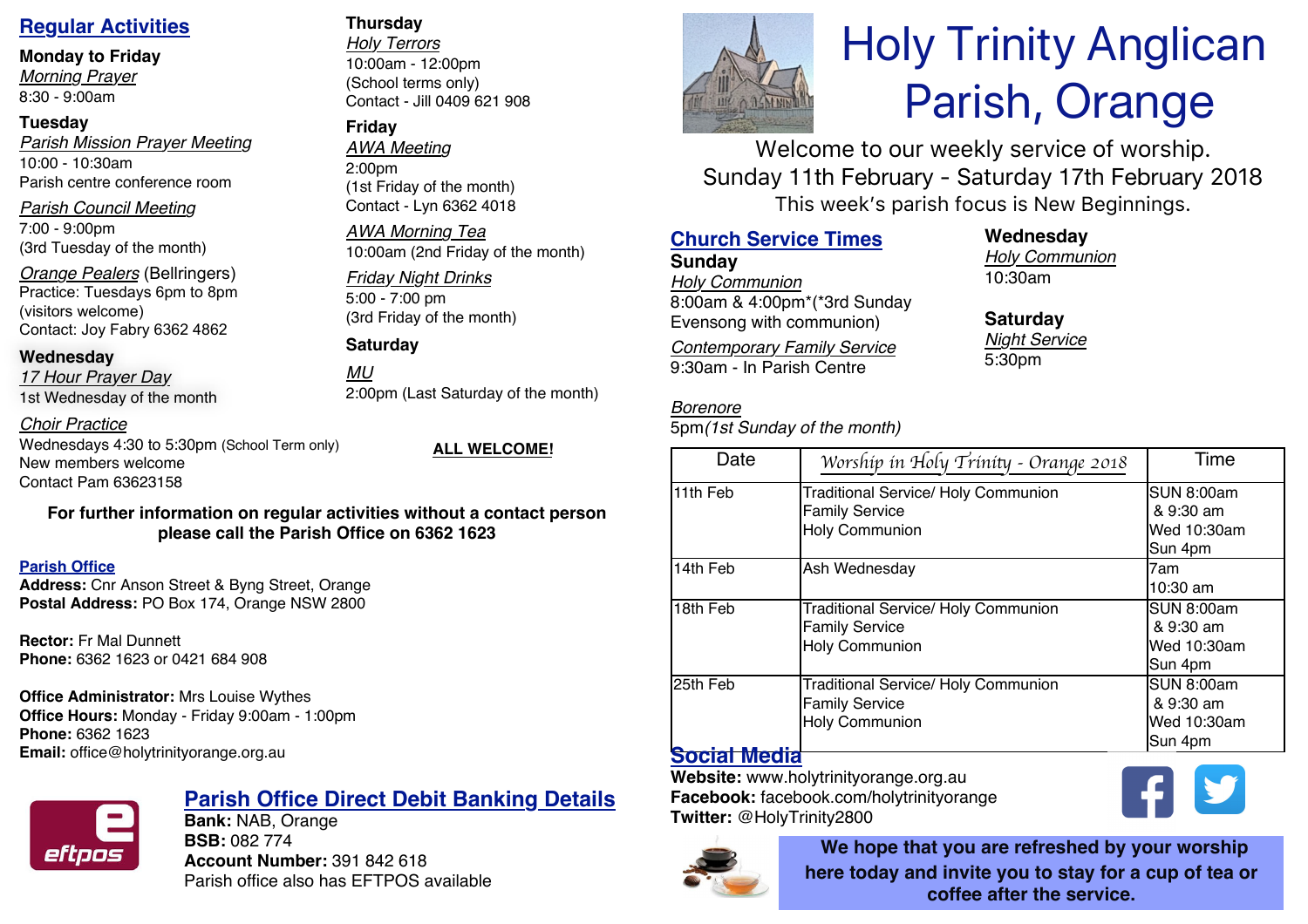## **Regular Activities**

## **Monday to Friday**

*Morning Prayer* 8:30 - 9:00am

## **Tuesday**

*Parish Mission Prayer Meeting* 10:00 - 10:30am Parish centre conference room

*Parish Council Meeting* 7:00 - 9:00pm

(3rd Tuesday of the month)

*Orange Pealers* (Bellringers) Practice: Tuesdays 6pm to 8pm (visitors welcome) Contact: Joy Fabry 6362 4862

## **Wednesday**

*17 Hour Prayer Day* 1st Wednesday of the month

*Choir Practice*

Wednesdays 4:30 to 5:30pm (School Term only) New members welcome Contact Pam 63623158

**ALL WELCOME!**

## **For further information on regular activities without a contact person please call the Parish Office on 6362 1623**

## **Parish Office**

**Address:** Cnr Anson Street & Byng Street, Orange **Postal Address:** PO Box 174, Orange NSW 2800

**Rector:** Fr Mal Dunnett **Phone:** 6362 1623 or 0421 684 908

## **Office Administrator:** Mrs Louise Wythes

**Office Hours:** Monday - Friday 9:00am - 1:00pm **Phone:** 6362 1623 **Email:** office@holytrinityorange.org.au



## **Parish Office Direct Debit Banking Details**

**Bank:** NAB, Orange **BSB:** 082 774 **Account Number:** 391 842 618 Parish office also has EFTPOS available

## **Thursday**

*Holy Terrors* 10:00am - 12:00pm (School terms only) Contact - Jill 0409 621 908

## **Friday**

*AWA Meeting* 2:00pm (1st Friday of the month) Contact - Lyn 6362 4018

*AWA Morning Tea* 10:00am (2nd Friday of the month)

## *Friday Night Drinks* 5:00 - 7:00 pm

(3rd Friday of the month)

**Saturday**

*MU* 2:00pm (Last Saturday of the month)

## **Church Service Times**

**Sunday** *Holy Communion* 8:00am & 4:00pm\*(\*3rd Sunday Evensong with communion)

*Contemporary Family Service* 9:30am - In Parish Centre

## *Borenore*

5pm*(1st Sunday of the month)*

# Holy Trinity Anglican Parish, Orange

Welcome to our weekly service of worship. Sunday 11th February - Saturday 17th February 2018 This week's parish focus is New Beginnings.

## **Wednesday** *Holy Communion* 10:30am

**Saturday** *Night Service* 5:30pm

| Date                | Worship in Holy Trinity - Orange 2018      | Time              |
|---------------------|--------------------------------------------|-------------------|
| 11th Feb            | <b>Traditional Service/ Holy Communion</b> | <b>SUN 8:00am</b> |
|                     | <b>Family Service</b>                      | & 9:30 am         |
|                     | <b>Holy Communion</b>                      | Wed 10:30am       |
|                     |                                            | Sun 4pm           |
| 14th Feb            | Ash Wednesday                              | 7am               |
|                     |                                            | 10:30 am          |
| 18th Feb            | <b>Traditional Service/ Holy Communion</b> | <b>SUN 8:00am</b> |
|                     | <b>Family Service</b>                      | & 9:30 am         |
|                     | <b>Holy Communion</b>                      | Wed 10:30am       |
|                     |                                            | Sun 4pm           |
| 25th Feb            | <b>Traditional Service/ Holy Communion</b> | <b>SUN 8:00am</b> |
|                     | <b>Family Service</b>                      | & 9:30 am         |
|                     | <b>Holy Communion</b>                      | Wed 10:30am       |
|                     |                                            | Sun 4pm           |
| <b>Social Media</b> |                                            |                   |

**Website:** www.holytrinityorange.org.au **Facebook:** facebook.com/holytrinityorange **Twitter:** @HolyTrinity2800



**We hope that you are refreshed by your worship here today and invite you to stay for a cup of tea or coffee after the service.**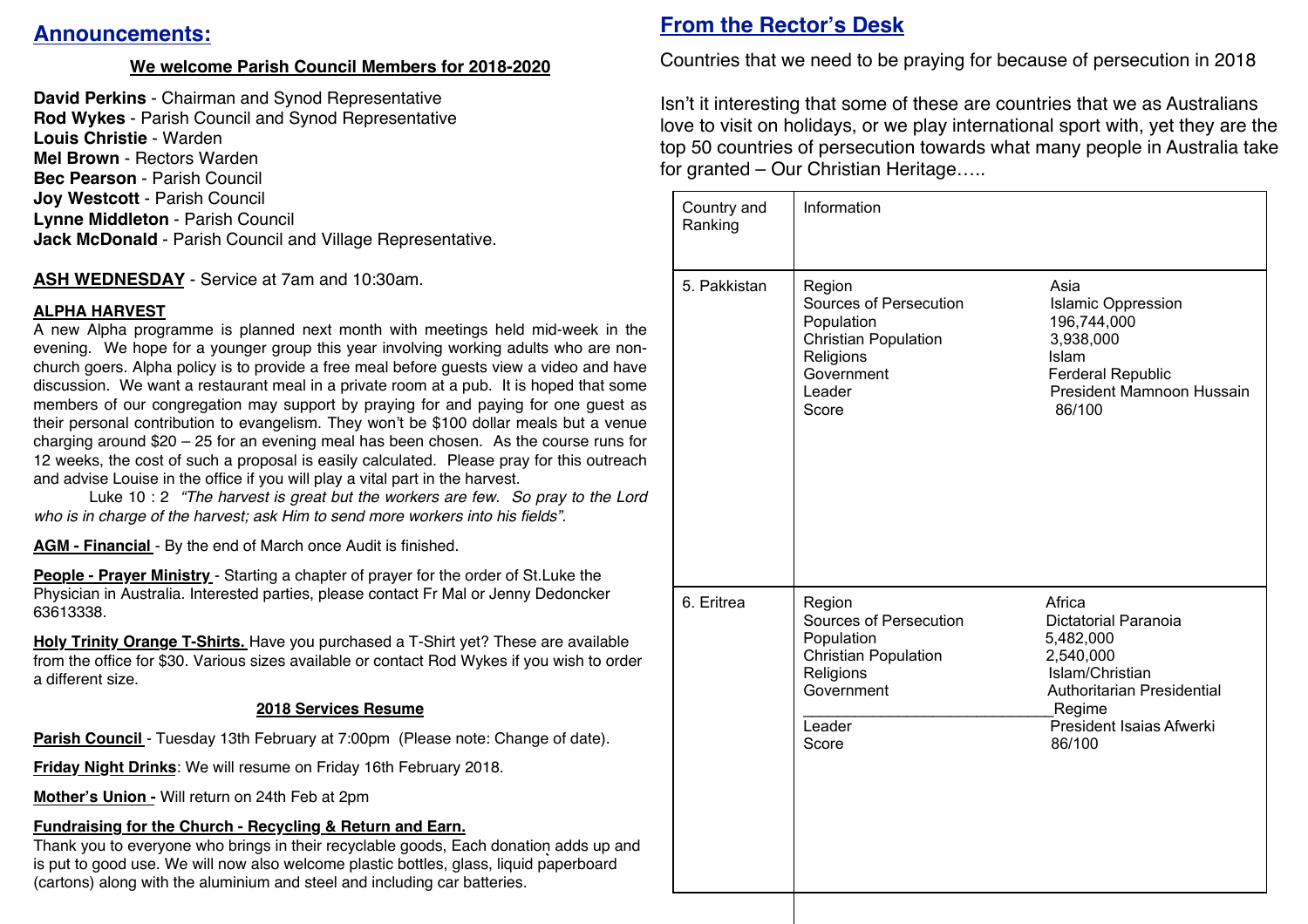## **Announcements:**

## **We welcome Parish Council Members for 2018-2020**

**David Perkins** - Chairman and Synod Representative **Rod Wykes** - Parish Council and Synod Representative **Louis Christie** - Warden **Mel Brown** - Rectors Warden **Bec Pearson** - Parish Council **Joy Westcott** - Parish Council **Lynne Middleton** - Parish Council **Jack McDonald** - Parish Council and Village Representative.

**ASH WEDNESDAY** - Service at 7am and 10:30am.

## **ALPHA HARVEST**

A new Alpha programme is planned next month with meetings held mid-week in the evening. We hope for a younger group this year involving working adults who are nonchurch goers. Alpha policy is to provide a free meal before guests view a video and have discussion. We want a restaurant meal in a private room at a pub. It is hoped that some members of our congregation may support by praying for and paying for one guest as their personal contribution to evangelism. They won't be \$100 dollar meals but a venue charging around \$20 – 25 for an evening meal has been chosen. As the course runs for 12 weeks, the cost of such a proposal is easily calculated. Please pray for this outreach and advise Louise in the office if you will play a vital part in the harvest.

Luke 10 : 2 *"The harvest is great but the workers are few. So pray to the Lord who is in charge of the harvest; ask Him to send more workers into his fields".*

**AGM - Financial** - By the end of March once Audit is finished.

**People - Prayer Ministry** - Starting a chapter of prayer for the order of St.Luke the Physician in Australia. Interested parties, please contact Fr Mal or Jenny Dedoncker 63613338.

**Holy Trinity Orange T-Shirts.** Have you purchased a T-Shirt yet? These are available from the office for \$30. Various sizes available or contact Rod Wykes if you wish to order a different size.

## **2018 Services Resume**

**Parish Council - Tuesday 13th February at 7:00pm (Please note: Change of date).** 

**Friday Night Drinks**: We will resume on Friday 16th February 2018.

**Mother's Union -** Will return on 24th Feb at 2pm

**Fundraising for the Church - Recycling & Return and Earn.** 

Thank you to everyone who brings in their recyclable goods, Each donation adds up and is put to good use. We will now also welcome plastic bottles, glass, liquid paperboard (cartons) along with the aluminium and steel and including car batteries.

## **From the Rector's Desk**

Countries that we need to be praying for because of persecution in 2018

Isn't it interesting that some of these are countries that we as Australians love to visit on holidays, or we play international sport with, yet they are the top 50 countries of persecution towards what many people in Australia take for granted – Our Christian Heritage…..

| Country and<br>Ranking | Information                                                                                                                 |                                                                                                                                                           |
|------------------------|-----------------------------------------------------------------------------------------------------------------------------|-----------------------------------------------------------------------------------------------------------------------------------------------------------|
| 5. Pakkistan           | Region<br>Sources of Persecution<br>Population<br><b>Christian Population</b><br>Religions<br>Government<br>Leader<br>Score | Asia<br><b>Islamic Oppression</b><br>196,744,000<br>3,938,000<br>Islam<br><b>Ferderal Republic</b><br>President Mamnoon Hussain<br>86/100                 |
| 6. Eritrea             | Region<br>Sources of Persecution<br>Population<br><b>Christian Population</b><br>Religions<br>Government<br>Leader<br>Score | Africa<br>Dictatorial Paranoia<br>5,482,000<br>2,540,000<br>Islam/Christian<br>Authoritarian Presidential<br>Regime<br>President Isaias Afwerki<br>86/100 |